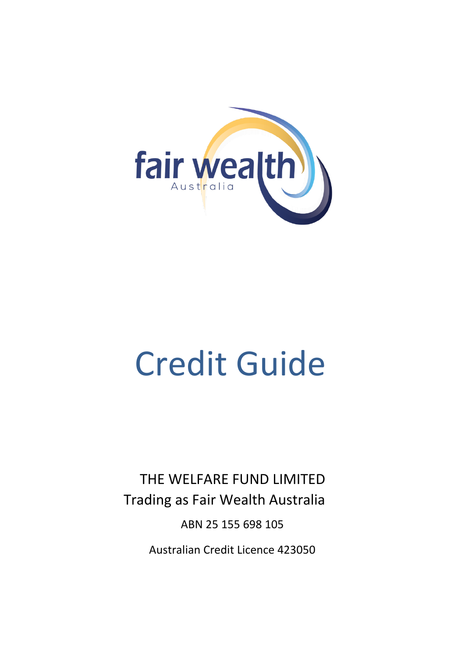

# Credit Guide

THE WELFARE FUND LIMITED Trading as Fair Wealth Australia

ABN 25 155 698 105

Australian Credit Licence 423050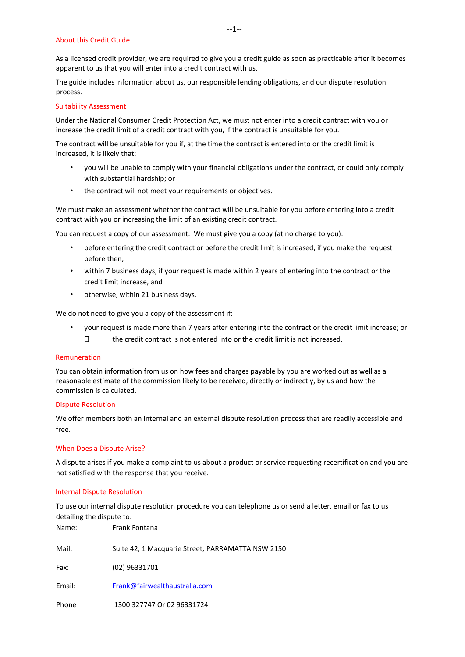### About this Credit Guide

As a licensed credit provider, we are required to give you a credit guide as soon as practicable after it becomes apparent to us that you will enter into a credit contract with us.

The guide includes information about us, our responsible lending obligations, and our dispute resolution process.

## Suitability Assessment

Under the National Consumer Credit Protection Act, we must not enter into a credit contract with you or increase the credit limit of a credit contract with you, if the contract is unsuitable for you.

The contract will be unsuitable for you if, at the time the contract is entered into or the credit limit is increased, it is likely that:

- you will be unable to comply with your financial obligations under the contract, or could only comply with substantial hardship; or
- the contract will not meet your requirements or objectives.

We must make an assessment whether the contract will be unsuitable for you before entering into a credit contract with you or increasing the limit of an existing credit contract.

You can request a copy of our assessment. We must give you a copy (at no charge to you):

- before entering the credit contract or before the credit limit is increased, if you make the request before then;
- within 7 business days, if your request is made within 2 years of entering into the contract or the credit limit increase, and
- otherwise, within 21 business days.

We do not need to give you a copy of the assessment if:

• your request is made more than 7 years after entering into the contract or the credit limit increase; or  $\Box$ the credit contract is not entered into or the credit limit is not increased.

#### Remuneration

You can obtain information from us on how fees and charges payable by you are worked out as well as a reasonable estimate of the commission likely to be received, directly or indirectly, by us and how the commission is calculated.

#### Dispute Resolution

We offer members both an internal and an external dispute resolution process that are readily accessible and free.

# When Does a Dispute Arise?

A dispute arises if you make a complaint to us about a product or service requesting recertification and you are not satisfied with the response that you receive.

#### Internal Dispute Resolution

To use our internal dispute resolution procedure you can telephone us or send a letter, email or fax to us detailing the dispute to:

| Name:  | Frank Fontana                                     |
|--------|---------------------------------------------------|
| Mail:  | Suite 42, 1 Macquarie Street, PARRAMATTA NSW 2150 |
| Fax:   | (02) 96331701                                     |
| Email: | Frank@fairwealthaustralia.com                     |
| Phone  | 1300 327747 Or 02 96331724                        |